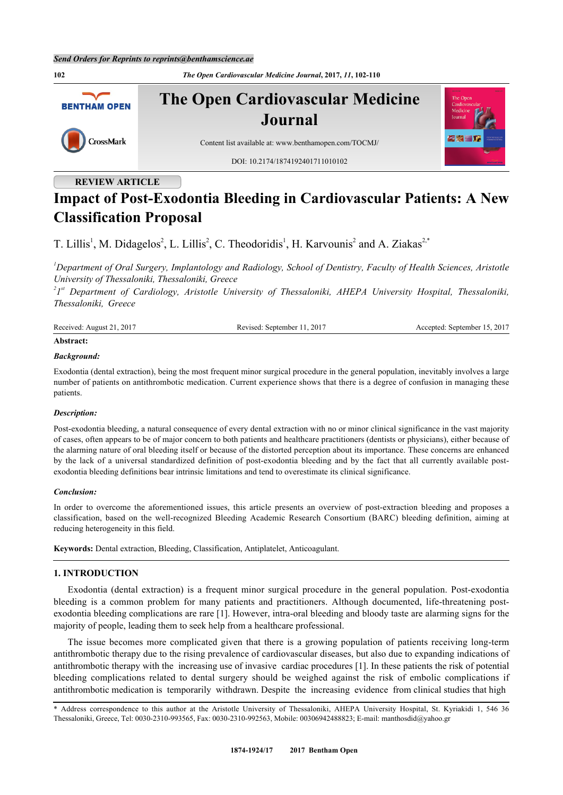**102** *The Open Cardiovascular Medicine Journal***, 2017,** *11***, 102-110 The Open Cardiovascular Medicine BENTHAM OPEN Journal** CrossMark Content list available at: [www.benthamopen.com/TOCMJ/](http://www.benthamopen.com/TOCMJ/) DOI: [10.2174/1874192401711010102](http://dx.doi.org/10.2174/1874192401711010102)

# **REVIEW ARTICLE**

# **Impact of Post-Exodontia Bleeding in Cardiovascular Patients: A New Classification Proposal**

T. Lillis<sup>[1](#page-0-0)</sup>, M. Didagelos<sup>[2](#page-0-1)</sup>, L. Lillis<sup>2</sup>, C. Theodoridis<sup>1</sup>, H. Karvounis<sup>2</sup> and A. Ziakas<sup>2[,\\*](#page-0-2)</sup>

<span id="page-0-0"></span>*<sup>1</sup>Department of Oral Surgery, Implantology and Radiology, School of Dentistry, Faculty of Health Sciences, Aristotle University of Thessaloniki, Thessaloniki, Greece*

<span id="page-0-1"></span>*2 1 st Department of Cardiology, Aristotle University of Thessaloniki, AHEPA University Hospital, Thessaloniki, Thessaloniki, Greece*

| Received: | .2017                | $\cdot$ 2017 |
|-----------|----------------------|--------------|
| $-201'$   | Revised <sup>.</sup> | September.   |
| August    | September            | ccented      |
|           |                      |              |

### **Abstract:**

### *Background:*

Exodontia (dental extraction), being the most frequent minor surgical procedure in the general population, inevitably involves a large number of patients on antithrombotic medication. Current experience shows that there is a degree of confusion in managing these patients.

### *Description:*

Post-exodontia bleeding, a natural consequence of every dental extraction with no or minor clinical significance in the vast majority of cases, often appears to be of major concern to both patients and healthcare practitioners (dentists or physicians), either because of the alarming nature of oral bleeding itself or because of the distorted perception about its importance. These concerns are enhanced by the lack of a universal standardized definition of post-exodontia bleeding and by the fact that all currently available postexodontia bleeding definitions bear intrinsic limitations and tend to overestimate its clinical significance.

### *Conclusion:*

In order to overcome the aforementioned issues, this article presents an overview of post-extraction bleeding and proposes a classification, based on the well-recognized Bleeding Academic Research Consortium (BARC) bleeding definition, aiming at reducing heterogeneity in this field.

**Keywords:** Dental extraction, Bleeding, Classification, Antiplatelet, Anticoagulant.

# **1. INTRODUCTION**

Exodontia (dental extraction) is a frequent minor surgical procedure in the general population. Post-exodontia bleeding is a common problem for many patients and practitioners. Although documented, life-threatening postexodontia bleeding complications are rare [[1\]](#page-6-0). However, intra-oral bleeding and bloody taste are alarming signs for the majority of people, leading them to seek help from a healthcare professional.

The issue becomes more complicated given that there is a growing population of patients receiving long-term antithrombotic therapy due to the rising prevalence of cardiovascular diseases, but also due to expanding indications of antithrombotic therapy with the increasing use of invasive cardiac procedures [[1](#page-6-0)]. In these patients the risk of potential bleeding complications related to dental surgery should be weighed against the risk of embolic complications if antithrombotic medication is temporarily withdrawn. Despite the increasing evidence from clinical studies that high

<span id="page-0-2"></span><sup>\*</sup> Address correspondence to this author at the Aristotle University of Thessaloniki, AHEPA University Hospital, St. Kyriakidi 1, 546 36 Thessaloniki, Greece, Tel: 0030-2310-993565, Fax: 0030-2310-992563, Mobile: 00306942488823; E-mail: [manthosdid@yahoo.gr](mailto:manthosdid@yahoo.gr)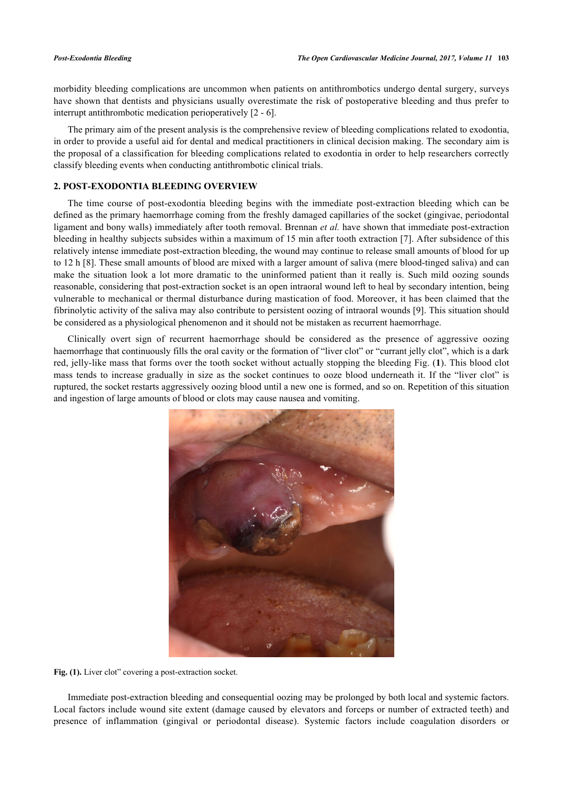morbidity bleeding complications are uncommon when patients on antithrombotics undergo dental surgery, surveys have shown that dentists and physicians usually overestimate the risk of postoperative bleeding and thus prefer to interrupt antithrombotic medication perioperatively [\[2](#page-6-1) - [6\]](#page-6-2).

The primary aim of the present analysis is the comprehensive review of bleeding complications related to exodontia, in order to provide a useful aid for dental and medical practitioners in clinical decision making. The secondary aim is the proposal of a classification for bleeding complications related to exodontia in order to help researchers correctly classify bleeding events when conducting antithrombotic clinical trials.

# **2. POST-EXODONTIA BLEEDING OVERVIEW**

The time course of post-exodontia bleeding begins with the immediate post-extraction bleeding which can be defined as the primary haemorrhage coming from the freshly damaged capillaries of the socket (gingivae, periodontal ligament and bony walls) immediately after tooth removal. Brennan *et al.* have shown that immediate post-extraction bleeding in healthy subjects subsides within a maximum of 15 min after tooth extraction [[7\]](#page-6-3). After subsidence of this relatively intense immediate post-extraction bleeding, the wound may continue to release small amounts of blood for up to 12 h [\[8](#page-6-4)]. These small amounts of blood are mixed with a larger amount of saliva (mere blood-tinged saliva) and can make the situation look a lot more dramatic to the uninformed patient than it really is. Such mild oozing sounds reasonable, considering that post-extraction socket is an open intraoral wound left to heal by secondary intention, being vulnerable to mechanical or thermal disturbance during mastication of food. Moreover, it has been claimed that the fibrinolytic activity of the saliva may also contribute to persistent oozing of intraoral wounds [[9](#page-6-5)]. This situation should be considered as a physiological phenomenon and it should not be mistaken as recurrent haemorrhage.

<span id="page-1-0"></span>Clinically overt sign of recurrent haemorrhage should be considered as the presence of aggressive oozing haemorrhage that continuously fills the oral cavity or the formation of "liver clot" or "currant jelly clot", which is a dark red, jelly-like mass that forms over the tooth socket without actually stopping the bleeding Fig. (**[1](#page-1-0)**). This blood clot mass tends to increase gradually in size as the socket continues to ooze blood underneath it. If the "liver clot" is ruptured, the socket restarts aggressively oozing blood until a new one is formed, and so on. Repetition of this situation and ingestion of large amounts of blood or clots may cause nausea and vomiting.



Fig. (1). Liver clot" covering a post-extraction socket.

Immediate post-extraction bleeding and consequential oozing may be prolonged by both local and systemic factors. Local factors include wound site extent (damage caused by elevators and forceps or number of extracted teeth) and presence of inflammation (gingival or periodontal disease). Systemic factors include coagulation disorders or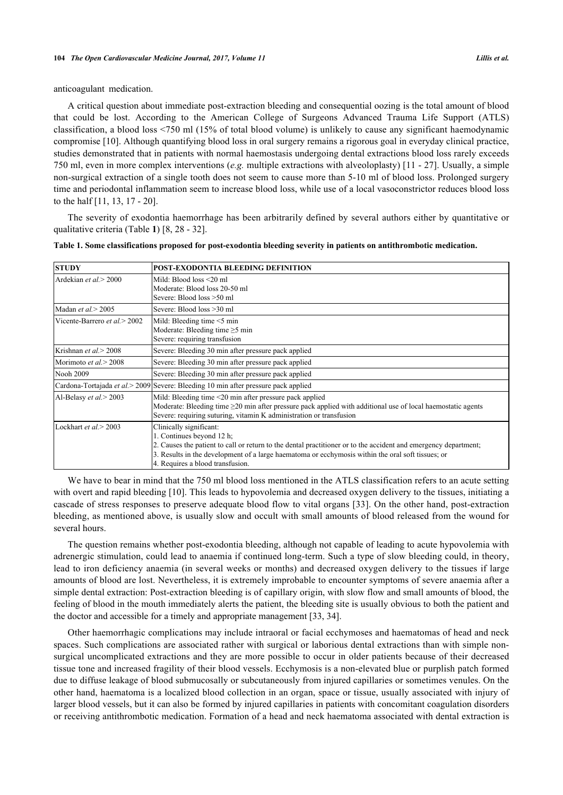anticoagulant medication.

A critical question about immediate post-extraction bleeding and consequential oozing is the total amount of blood that could be lost. According to the American College of Surgeons Advanced Trauma Life Support (ATLS) classification, a blood loss <750 ml (15% of total blood volume) is unlikely to cause any significant haemodynamic compromise [\[10](#page-6-6)]. Although quantifying blood loss in oral surgery remains a rigorous goal in everyday clinical practice, studies demonstrated that in patients with normal haemostasis undergoing dental extractions blood loss rarely exceeds 750 ml, even in more complex interventions (*e.g.* multiple extractions with alveoloplasty) [[11](#page-6-7) - [27\]](#page-7-0). Usually, a simple non-surgical extraction of a single tooth does not seem to cause more than 5-10 ml of blood loss. Prolonged surgery time and periodontal inflammation seem to increase blood loss, while use of a local vasoconstrictor reduces blood loss to the half [\[11](#page-6-7), [13](#page-6-8), [17](#page-6-9) - [20](#page-7-1)].

The severity of exodontia haemorrhage has been arbitrarily defined by several authors either by quantitative or qualitative criteria (Table **[1](#page-2-0)**) [[8,](#page-6-4) [28](#page-7-2) - [32](#page-7-3)].

| <b>STUDY</b>                  | POST-EXODONTIA BLEEDING DEFINITION                                                                                                                                                                                                                                                                               |  |  |  |
|-------------------------------|------------------------------------------------------------------------------------------------------------------------------------------------------------------------------------------------------------------------------------------------------------------------------------------------------------------|--|--|--|
| Ardekian et al. > 2000        | Mild: Blood loss <20 ml<br>Moderate: Blood loss 20-50 ml<br>Severe: Blood loss >50 ml                                                                                                                                                                                                                            |  |  |  |
| Madan et al. $>$ 2005         | Severe: Blood loss >30 ml                                                                                                                                                                                                                                                                                        |  |  |  |
| Vicente-Barrero et al. > 2002 | Mild: Bleeding time $\leq$ 5 min<br>Moderate: Bleeding time $\geq$ 5 min<br>Severe: requiring transfusion                                                                                                                                                                                                        |  |  |  |
| Krishnan et al.> 2008         | Severe: Bleeding 30 min after pressure pack applied                                                                                                                                                                                                                                                              |  |  |  |
| Morimoto et al. $>$ 2008      | Severe: Bleeding 30 min after pressure pack applied                                                                                                                                                                                                                                                              |  |  |  |
| Nooh 2009                     | Severe: Bleeding 30 min after pressure pack applied                                                                                                                                                                                                                                                              |  |  |  |
|                               | Cardona-Tortajada <i>et al.</i> > 2009 Severe: Bleeding 10 min after pressure pack applied                                                                                                                                                                                                                       |  |  |  |
| Al-Belasy et al. > 2003       | Mild: Bleeding time $\leq$ 20 min after pressure pack applied<br>Moderate: Bleeding time $\geq$ 20 min after pressure pack applied with additional use of local haemostatic agents<br>Severe: requiring suturing, vitamin K administration or transfusion                                                        |  |  |  |
| Lockhart et al. $>$ 2003      | Clinically significant:<br>1. Continues beyond 12 h;<br>2. Causes the patient to call or return to the dental practitioner or to the accident and emergency department;<br>3. Results in the development of a large haematoma or ecchymosis within the oral soft tissues; or<br>4. Requires a blood transfusion. |  |  |  |

<span id="page-2-0"></span>**Table 1. Some classifications proposed for post-exodontia bleeding severity in patients on antithrombotic medication.**

We have to bear in mind that the 750 ml blood loss mentioned in the ATLS classification refers to an acute setting with overt and rapid bleeding [[10\]](#page-6-6). This leads to hypovolemia and decreased oxygen delivery to the tissues, initiating a cascade of stress responses to preserve adequate blood flow to vital organs [\[33\]](#page-7-4). On the other hand, post-extraction bleeding, as mentioned above, is usually slow and occult with small amounts of blood released from the wound for several hours.

The question remains whether post-exodontia bleeding, although not capable of leading to acute hypovolemia with adrenergic stimulation, could lead to anaemia if continued long-term. Such a type of slow bleeding could, in theory, lead to iron deficiency anaemia (in several weeks or months) and decreased oxygen delivery to the tissues if large amounts of blood are lost. Nevertheless, it is extremely improbable to encounter symptoms of severe anaemia after a simple dental extraction: Post-extraction bleeding is of capillary origin, with slow flow and small amounts of blood, the feeling of blood in the mouth immediately alerts the patient, the bleeding site is usually obvious to both the patient and the doctor and accessible for a timely and appropriate management [[33,](#page-7-4) [34\]](#page-7-5).

Other haemorrhagic complications may include intraoral or facial ecchymoses and haematomas of head and neck spaces. Such complications are associated rather with surgical or laborious dental extractions than with simple nonsurgical uncomplicated extractions and they are more possible to occur in older patients because of their decreased tissue tone and increased fragility of their blood vessels. Ecchymosis is a non-elevated blue or purplish patch formed due to diffuse leakage of blood submucosally or subcutaneously from injured capillaries or sometimes venules. On the other hand, haematoma is a localized blood collection in an organ, space or tissue, usually associated with injury of larger blood vessels, but it can also be formed by injured capillaries in patients with concomitant coagulation disorders or receiving antithrombotic medication. Formation of a head and neck haematoma associated with dental extraction is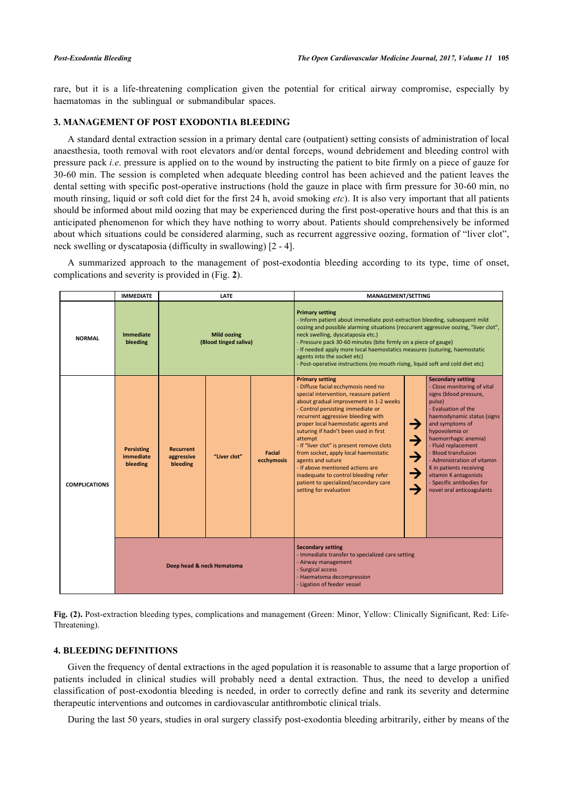rare, but it is a life-threatening complication given the potential for critical airway compromise, especially by haematomas in the sublingual or submandibular spaces.

# **3. MANAGEMENT OF POST EXODONTIA BLEEDING**

A standard dental extraction session in a primary dental care (outpatient) setting consists of administration of local anaesthesia, tooth removal with root elevators and/or dental forceps, wound debridement and bleeding control with pressure pack *i.e*. pressure is applied on to the wound by instructing the patient to bite firmly on a piece of gauze for 30-60 min. The session is completed when adequate bleeding control has been achieved and the patient leaves the dental setting with specific post-operative instructions (hold the gauze in place with firm pressure for 30-60 min, no mouth rinsing, liquid or soft cold diet for the first 24 h, avoid smoking *etc*). It is also very important that all patients should be informed about mild oozing that may be experienced during the first post-operative hours and that this is an anticipated phenomenon for which they have nothing to worry about. Patients should comprehensively be informed about which situations could be considered alarming, such as recurrent aggressive oozing, formation of "liver clot", neck swelling or dyscataposia (difficulty in swallowing) [\[2](#page-6-1) - [4\]](#page-6-10).

A summarized approach to the management of post-exodontia bleeding according to its type, time of onset, complications and severity is provided in (Fig. **[2](#page-3-0)**).

<span id="page-3-0"></span>

|                      | <b>IMMEDIATE</b>                           | <b>LATE</b>                                 |                                                                                                                                                                                      | <b>MANAGEMENT/SETTING</b>                                                                                                                                                                                                                                                                                                                                                                                                                                                                         |                                                                                                                                                                                                                                                                                                                                                                                                                                                                                                                                                                                  |                                                                                                                                                                                                                                                                                                                                                                                                                                                                                   |
|----------------------|--------------------------------------------|---------------------------------------------|--------------------------------------------------------------------------------------------------------------------------------------------------------------------------------------|---------------------------------------------------------------------------------------------------------------------------------------------------------------------------------------------------------------------------------------------------------------------------------------------------------------------------------------------------------------------------------------------------------------------------------------------------------------------------------------------------|----------------------------------------------------------------------------------------------------------------------------------------------------------------------------------------------------------------------------------------------------------------------------------------------------------------------------------------------------------------------------------------------------------------------------------------------------------------------------------------------------------------------------------------------------------------------------------|-----------------------------------------------------------------------------------------------------------------------------------------------------------------------------------------------------------------------------------------------------------------------------------------------------------------------------------------------------------------------------------------------------------------------------------------------------------------------------------|
| <b>NORMAL</b>        | <b>Immediate</b><br>bleeding               | <b>Mild oozing</b><br>(Blood tinged saliva) |                                                                                                                                                                                      | <b>Primary setting</b><br>- Inform patient about immediate post-extraction bleeding, subsequent mild<br>oozing and possible alarming situations (reccurent aggressive oozing, "liver clot",<br>neck swelling, dyscataposia etc.)<br>- Pressure pack 30-60 minutes (bite firmly on a piece of gauge)<br>- If needed apply more local haemostatics measures (suturing, haemostatic<br>agents into the socket etc)<br>- Post-operative instructions (no mouth rising, liquid soft and cold diet etc) |                                                                                                                                                                                                                                                                                                                                                                                                                                                                                                                                                                                  |                                                                                                                                                                                                                                                                                                                                                                                                                                                                                   |
| <b>COMPLICATIONS</b> | <b>Persisting</b><br>immediate<br>bleeding | <b>Recurrent</b><br>aggressive<br>bleeding  | "Liver clot"                                                                                                                                                                         | <b>Facial</b><br>ecchymosis                                                                                                                                                                                                                                                                                                                                                                                                                                                                       | <b>Primary setting</b><br>- Diffuse facial ecchymosis need no<br>special intervention, reassure patient<br>about gradual improvement in 1-2 weeks<br>- Control persisting immediate or<br>recurrent aggressive bleeding with<br>proper local haemostatic agents and<br>suturing if hadn't been used in first<br>attempt<br>- If "liver clot" is present remove clots<br>from socket, apply local haemostatic<br>agents and suture<br>- If above mentioned actions are<br>inadequate to control bleeding refer<br>patient to specialized/secondary care<br>setting for evaluation | <b>Secondary setting</b><br>- Close monitoring of vital<br>signs (blood pressure,<br>pulse)<br>- Evaluation of the<br>haemodynamic status (signs<br>→<br>and symptoms of<br>hypovolemia or<br>$\rightarrow$<br>haemorrhagic anemia)<br>- Fluid replacement<br>- Blood transfusion<br>$\rightarrow$<br>- Administration of vitamin<br>K in patients receiving<br>$\rightarrow$<br>vitamin K antagonists<br>- Specific antibodies for<br>$\rightarrow$<br>novel oral anticoagulants |
|                      | Deep head & neck Hematoma                  |                                             | <b>Secondary setting</b><br>- Immediate transfer to specialized care setting<br>- Airway management<br>- Surgical access<br>- Haematoma decompression<br>- Ligation of feeder vessel |                                                                                                                                                                                                                                                                                                                                                                                                                                                                                                   |                                                                                                                                                                                                                                                                                                                                                                                                                                                                                                                                                                                  |                                                                                                                                                                                                                                                                                                                                                                                                                                                                                   |

**Fig. (2).** Post-extraction bleeding types, complications and management (Green: Minor, Yellow: Clinically Significant, Red: Life-Threatening).

# **4. BLEEDING DEFINITIONS**

Given the frequency of dental extractions in the aged population it is reasonable to assume that a large proportion of patients included in clinical studies will probably need a dental extraction. Thus, the need to develop a unified classification of post-exodontia bleeding is needed, in order to correctly define and rank its severity and determine therapeutic interventions and outcomes in cardiovascular antithrombotic clinical trials.

During the last 50 years, studies in oral surgery classify post-exodontia bleeding arbitrarily, either by means of the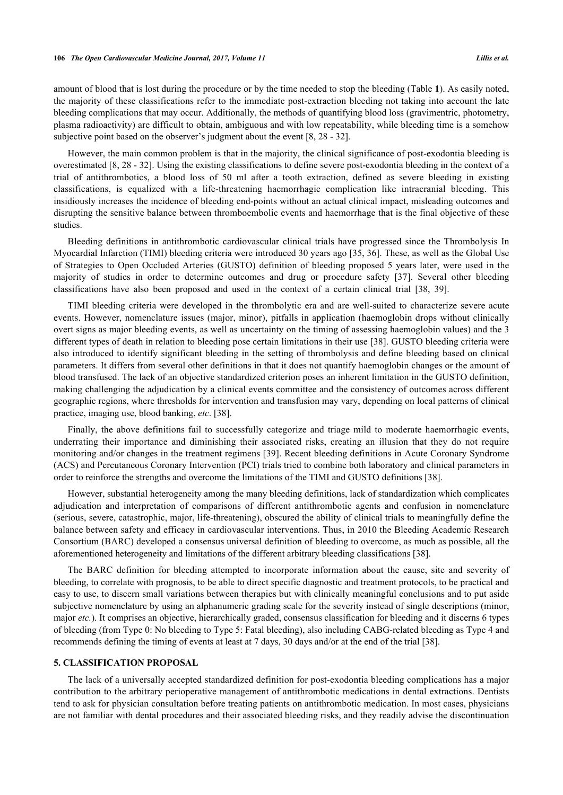amount of blood that is lost during the procedure or by the time needed to stop the bleeding (Table **[1](#page-2-0)**). As easily noted, the majority of these classifications refer to the immediate post-extraction bleeding not taking into account the late bleeding complications that may occur. Additionally, the methods of quantifying blood loss (gravimentric, photometry, plasma radioactivity) are difficult to obtain, ambiguous and with low repeatability, while bleeding time is a somehow subjective point based on the observer's judgment about the event [[8,](#page-6-4) [28](#page-7-2) - [32\]](#page-7-3).

However, the main common problem is that in the majority, the clinical significance of post-exodontia bleeding is overestimated [[8,](#page-6-4) [28](#page-7-2) - [32](#page-7-3)]. Using the existing classifications to define severe post-exodontia bleeding in the context of a trial of antithrombotics, a blood loss of 50 ml after a tooth extraction, defined as severe bleeding in existing classifications, is equalized with a life-threatening haemorrhagic complication like intracranial bleeding. This insidiously increases the incidence of bleeding end-points without an actual clinical impact, misleading outcomes and disrupting the sensitive balance between thromboembolic events and haemorrhage that is the final objective of these studies.

Bleeding definitions in antithrombotic cardiovascular clinical trials have progressed since the Thrombolysis In Myocardial Infarction (TIMI) bleeding criteria were introduced 30 years ago [[35,](#page-7-6) [36](#page-7-7)]. These, as well as the Global Use of Strategies to Open Occluded Arteries (GUSTO) definition of bleeding proposed 5 years later, were used in the majority of studies in order to determine outcomes and drug or procedure safety[[37\]](#page-7-8). Several other bleeding classifications have also been proposed and used in the context of a certain clinical trial [\[38](#page-7-9), [39](#page-8-0)].

TIMI bleeding criteria were developed in the thrombolytic era and are well-suited to characterize severe acute events. However, nomenclature issues (major, minor), pitfalls in application (haemoglobin drops without clinically overt signs as major bleeding events, as well as uncertainty on the timing of assessing haemoglobin values) and the 3 different types of death in relation to bleeding pose certain limitations in their use [[38](#page-7-9)]. GUSTO bleeding criteria were also introduced to identify significant bleeding in the setting of thrombolysis and define bleeding based on clinical parameters. It differs from several other definitions in that it does not quantify haemoglobin changes or the amount of blood transfused. The lack of an objective standardized criterion poses an inherent limitation in the GUSTO definition, making challenging the adjudication by a clinical events committee and the consistency of outcomes across different geographic regions, where thresholds for intervention and transfusion may vary, depending on local patterns of clinical practice, imaging use, blood banking, *etc*. [\[38](#page-7-9)].

Finally, the above definitions fail to successfully categorize and triage mild to moderate haemorrhagic events, underrating their importance and diminishing their associated risks, creating an illusion that they do not require monitoring and/or changes in the treatment regimens [[39\]](#page-8-0). Recent bleeding definitions in Acute Coronary Syndrome (ACS) and Percutaneous Coronary Intervention (PCI) trials tried to combine both laboratory and clinical parameters in order to reinforce the strengths and overcome the limitations of the TIMI and GUSTO definitions [\[38](#page-7-9)].

However, substantial heterogeneity among the many bleeding definitions, lack of standardization which complicates adjudication and interpretation of comparisons of different antithrombotic agents and confusion in nomenclature (serious, severe, catastrophic, major, life-threatening), obscured the ability of clinical trials to meaningfully define the balance between safety and efficacy in cardiovascular interventions. Thus, in 2010 the Bleeding Academic Research Consortium (BARC) developed a consensus universal definition of bleeding to overcome, as much as possible, all the aforementioned heterogeneity and limitations of the different arbitrary bleeding classifications [[38\]](#page-7-9).

The BARC definition for bleeding attempted to incorporate information about the cause, site and severity of bleeding, to correlate with prognosis, to be able to direct specific diagnostic and treatment protocols, to be practical and easy to use, to discern small variations between therapies but with clinically meaningful conclusions and to put aside subjective nomenclature by using an alphanumeric grading scale for the severity instead of single descriptions (minor, major *etc.*). It comprises an objective, hierarchically graded, consensus classification for bleeding and it discerns 6 types of bleeding (from Type 0: No bleeding to Type 5: Fatal bleeding), also including CABG-related bleeding as Type 4 and recommends defining the timing of events at least at 7 days, 30 days and/or at the end of the trial [[38\]](#page-7-9).

# **5. CLASSIFICATION PROPOSAL**

The lack of a universally accepted standardized definition for post-exodontia bleeding complications has a major contribution to the arbitrary perioperative management of antithrombotic medications in dental extractions. Dentists tend to ask for physician consultation before treating patients on antithrombotic medication. In most cases, physicians are not familiar with dental procedures and their associated bleeding risks, and they readily advise the discontinuation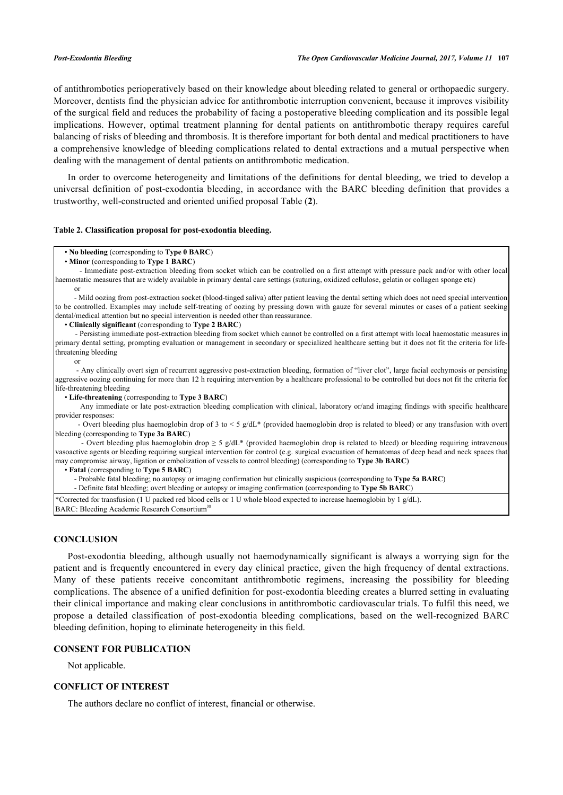of antithrombotics perioperatively based on their knowledge about bleeding related to general or orthopaedic surgery. Moreover, dentists find the physician advice for antithrombotic interruption convenient, because it improves visibility of the surgical field and reduces the probability of facing a postoperative bleeding complication and its possible legal implications. However, optimal treatment planning for dental patients on antithrombotic therapy requires careful balancing of risks of bleeding and thrombosis. It is therefore important for both dental and medical practitioners to have a comprehensive knowledge of bleeding complications related to dental extractions and a mutual perspective when dealing with the management of dental patients on antithrombotic medication.

In order to overcome heterogeneity and limitations of the definitions for dental bleeding, we tried to develop a universal definition of post-exodontia bleeding, in accordance with the BARC bleeding definition that provides a trustworthy, well-constructed and oriented unified proposal Table (**[2](#page-5-0)**).

### <span id="page-5-0"></span>**Table 2. Classification proposal for post-exodontia bleeding.**

### • **No bleeding** (corresponding to **Type 0 BARC**)

 - Immediate post-extraction bleeding from socket which can be controlled on a first attempt with pressure pack and/or with other local haemostatic measures that are widely available in primary dental care settings (suturing, oxidized cellulose, gelatin or collagen sponge etc) or

 - Mild oozing from post-extraction socket (blood-tinged saliva) after patient leaving the dental setting which does not need special intervention to be controlled. Examples may include self-treating of oozing by pressing down with gauze for several minutes or cases of a patient seeking dental/medical attention but no special intervention is needed other than reassurance.

• **Clinically significant** (corresponding to **Type 2 BARC**)

 - Persisting immediate post-extraction bleeding from socket which cannot be controlled on a first attempt with local haemostatic measures in primary dental setting, prompting evaluation or management in secondary or specialized healthcare setting but it does not fit the criteria for lifethreatening bleeding

or

 - Any clinically overt sign of recurrent aggressive post-extraction bleeding, formation of "liver clot", large facial ecchymosis or persisting aggressive oozing continuing for more than 12 h requiring intervention by a healthcare professional to be controlled but does not fit the criteria for life-threatening bleeding

• **Life-threatening** (corresponding to **Type 3 BARC**)

 Any immediate or late post-extraction bleeding complication with clinical, laboratory or/and imaging findings with specific healthcare provider responses:

 - Overt bleeding plus haemoglobin drop of 3 to < 5 g/dL\* (provided haemoglobin drop is related to bleed) or any transfusion with overt bleeding (corresponding to **Type 3a BARC**)

- Overt bleeding plus haemoglobin drop  $\geq 5$  g/dL\* (provided haemoglobin drop is related to bleed) or bleeding requiring intravenous vasoactive agents or bleeding requiring surgical intervention for control (e.g. surgical evacuation of hematomas of deep head and neck spaces that may compromise airway, ligation or embolization of vessels to control bleeding) (corresponding to **Type 3b BARC**)

• **Fatal** (corresponding to **Type 5 BARC**)

- Probable fatal bleeding; no autopsy or imaging confirmation but clinically suspicious (corresponding to **Type 5a BARC**)

- Definite fatal bleeding; overt bleeding or autopsy or imaging confirmation (corresponding to **Type 5b BARC**)

\*Corrected for transfusion (1 U packed red blood cells or 1 U whole blood expected to increase haemoglobin by 1 g/dL). BARC: Bleeding Academic Research Consortium<sup>38</sup>

### **CONCLUSION**

Post-exodontia bleeding, although usually not haemodynamically significant is always a worrying sign for the patient and is frequently encountered in every day clinical practice, given the high frequency of dental extractions. Many of these patients receive concomitant antithrombotic regimens, increasing the possibility for bleeding complications. The absence of a unified definition for post-exodontia bleeding creates a blurred setting in evaluating their clinical importance and making clear conclusions in antithrombotic cardiovascular trials. To fulfil this need, we propose a detailed classification of post-exodontia bleeding complications, based on the well-recognized BARC bleeding definition, hoping to eliminate heterogeneity in this field.

# **CONSENT FOR PUBLICATION**

Not applicable.

# **CONFLICT OF INTEREST**

The authors declare no conflict of interest, financial or otherwise.

 <sup>•</sup> **Minor** (corresponding to **Type 1 BARC**)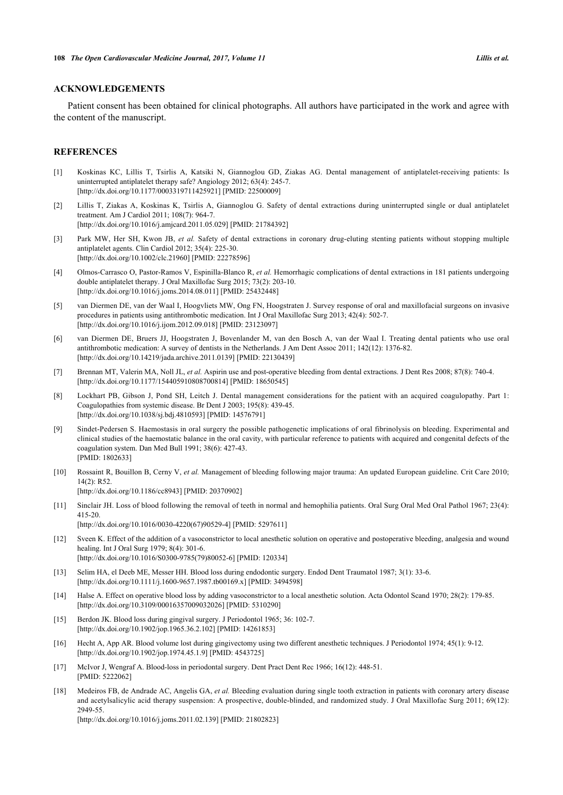### **ACKNOWLEDGEMENTS**

Patient consent has been obtained for clinical photographs. All authors have participated in the work and agree with the content of the manuscript.

### **REFERENCES**

- <span id="page-6-0"></span>[1] Koskinas KC, Lillis T, Tsirlis A, Katsiki N, Giannoglou GD, Ziakas AG. Dental management of antiplatelet-receiving patients: Is uninterrupted antiplatelet therapy safe? Angiology 2012; 63(4): 245-7. [\[http://dx.doi.org/10.1177/0003319711425921\]](http://dx.doi.org/10.1177/0003319711425921) [PMID: [22500009](http://www.ncbi.nlm.nih.gov/pubmed/22500009)]
- <span id="page-6-1"></span>[2] Lillis T, Ziakas A, Koskinas K, Tsirlis A, Giannoglou G. Safety of dental extractions during uninterrupted single or dual antiplatelet treatment. Am J Cardiol 2011; 108(7): 964-7. [\[http://dx.doi.org/10.1016/j.amjcard.2011.05.029\]](http://dx.doi.org/10.1016/j.amjcard.2011.05.029) [PMID: [21784392](http://www.ncbi.nlm.nih.gov/pubmed/21784392)]
- [3] Park MW, Her SH, Kwon JB, *et al.* Safety of dental extractions in coronary drug-eluting stenting patients without stopping multiple antiplatelet agents. Clin Cardiol 2012; 35(4): 225-30. [\[http://dx.doi.org/10.1002/clc.21960](http://dx.doi.org/10.1002/clc.21960)] [PMID: [22278596\]](http://www.ncbi.nlm.nih.gov/pubmed/22278596)
- <span id="page-6-10"></span>[4] Olmos-Carrasco O, Pastor-Ramos V, Espinilla-Blanco R, *et al.* Hemorrhagic complications of dental extractions in 181 patients undergoing double antiplatelet therapy. J Oral Maxillofac Surg 2015; 73(2): 203-10. [\[http://dx.doi.org/10.1016/j.joms.2014.08.011\]](http://dx.doi.org/10.1016/j.joms.2014.08.011) [PMID: [25432448](http://www.ncbi.nlm.nih.gov/pubmed/25432448)]
- [5] van Diermen DE, van der Waal I, Hoogvliets MW, Ong FN, Hoogstraten J. Survey response of oral and maxillofacial surgeons on invasive procedures in patients using antithrombotic medication. Int J Oral Maxillofac Surg 2013; 42(4): 502-7. [\[http://dx.doi.org/10.1016/j.ijom.2012.09.018\]](http://dx.doi.org/10.1016/j.ijom.2012.09.018) [PMID: [23123097](http://www.ncbi.nlm.nih.gov/pubmed/23123097)]
- <span id="page-6-2"></span>[6] van Diermen DE, Bruers JJ, Hoogstraten J, Bovenlander M, van den Bosch A, van der Waal I. Treating dental patients who use oral antithrombotic medication: A survey of dentists in the Netherlands. J Am Dent Assoc 2011; 142(12): 1376-82. [\[http://dx.doi.org/10.14219/jada.archive.2011.0139\]](http://dx.doi.org/10.14219/jada.archive.2011.0139) [PMID: [22130439](http://www.ncbi.nlm.nih.gov/pubmed/22130439)]
- <span id="page-6-3"></span>[7] Brennan MT, Valerin MA, Noll JL, *et al.* Aspirin use and post-operative bleeding from dental extractions. J Dent Res 2008; 87(8): 740-4. [\[http://dx.doi.org/10.1177/154405910808700814\]](http://dx.doi.org/10.1177/154405910808700814) [PMID: [18650545](http://www.ncbi.nlm.nih.gov/pubmed/18650545)]
- <span id="page-6-4"></span>[8] Lockhart PB, Gibson J, Pond SH, Leitch J. Dental management considerations for the patient with an acquired coagulopathy. Part 1: Coagulopathies from systemic disease. Br Dent J 2003; 195(8): 439-45. [\[http://dx.doi.org/10.1038/sj.bdj.4810593](http://dx.doi.org/10.1038/sj.bdj.4810593)] [PMID: [14576791\]](http://www.ncbi.nlm.nih.gov/pubmed/14576791)
- <span id="page-6-5"></span>[9] Sindet-Pedersen S. Haemostasis in oral surgery the possible pathogenetic implications of oral fibrinolysis on bleeding. Experimental and clinical studies of the haemostatic balance in the oral cavity, with particular reference to patients with acquired and congenital defects of the coagulation system. Dan Med Bull 1991; 38(6): 427-43. [PMID: [1802633\]](http://www.ncbi.nlm.nih.gov/pubmed/1802633)
- <span id="page-6-6"></span>[10] Rossaint R, Bouillon B, Cerny V, *et al.* Management of bleeding following major trauma: An updated European guideline. Crit Care 2010; 14(2): R52. [\[http://dx.doi.org/10.1186/cc8943\]](http://dx.doi.org/10.1186/cc8943) [PMID: [20370902](http://www.ncbi.nlm.nih.gov/pubmed/20370902)]
- <span id="page-6-7"></span>[11] Sinclair JH. Loss of blood following the removal of teeth in normal and hemophilia patients. Oral Surg Oral Med Oral Pathol 1967; 23(4): 415-20. [\[http://dx.doi.org/10.1016/0030-4220\(67\)90529-4](http://dx.doi.org/10.1016/0030-4220(67)90529-4)] [PMID: [5297611](http://www.ncbi.nlm.nih.gov/pubmed/5297611)]
- [12] Sveen K. Effect of the addition of a vasoconstrictor to local anesthetic solution on operative and postoperative bleeding, analgesia and wound healing. Int J Oral Surg 1979; 8(4): 301-6. [\[http://dx.doi.org/10.1016/S0300-9785\(79\)80052-6\]](http://dx.doi.org/10.1016/S0300-9785(79)80052-6) [PMID: [120334](http://www.ncbi.nlm.nih.gov/pubmed/120334)]
- <span id="page-6-8"></span>[13] Selim HA, el Deeb ME, Messer HH. Blood loss during endodontic surgery. Endod Dent Traumatol 1987; 3(1): 33-6. [\[http://dx.doi.org/10.1111/j.1600-9657.1987.tb00169.x\]](http://dx.doi.org/10.1111/j.1600-9657.1987.tb00169.x) [PMID: [3494598](http://www.ncbi.nlm.nih.gov/pubmed/3494598)]
- [14] Halse A. Effect on operative blood loss by adding vasoconstrictor to a local anesthetic solution. Acta Odontol Scand 1970; 28(2): 179-85. [\[http://dx.doi.org/10.3109/00016357009032026\]](http://dx.doi.org/10.3109/00016357009032026) [PMID: [5310290](http://www.ncbi.nlm.nih.gov/pubmed/5310290)]
- [15] Berdon JK. Blood loss during gingival surgery. J Periodontol 1965; 36: 102-7. [\[http://dx.doi.org/10.1902/jop.1965.36.2.102](http://dx.doi.org/10.1902/jop.1965.36.2.102)] [PMID: [14261853\]](http://www.ncbi.nlm.nih.gov/pubmed/14261853)
- [16] Hecht A, App AR. Blood volume lost during gingivectomy using two different anesthetic techniques. J Periodontol 1974; 45(1): 9-12. [\[http://dx.doi.org/10.1902/jop.1974.45.1.9](http://dx.doi.org/10.1902/jop.1974.45.1.9)] [PMID: [4543725\]](http://www.ncbi.nlm.nih.gov/pubmed/4543725)
- <span id="page-6-9"></span>[17] McIvor J, Wengraf A. Blood-loss in periodontal surgery. Dent Pract Dent Rec 1966; 16(12): 448-51. [PMID: [5222062\]](http://www.ncbi.nlm.nih.gov/pubmed/5222062)
- [18] Medeiros FB, de Andrade AC, Angelis GA, *et al.* Bleeding evaluation during single tooth extraction in patients with coronary artery disease and acetylsalicylic acid therapy suspension: A prospective, double-blinded, and randomized study. J Oral Maxillofac Surg 2011; 69(12): 2949-55.

[\[http://dx.doi.org/10.1016/j.joms.2011.02.139\]](http://dx.doi.org/10.1016/j.joms.2011.02.139) [PMID: [21802823](http://www.ncbi.nlm.nih.gov/pubmed/21802823)]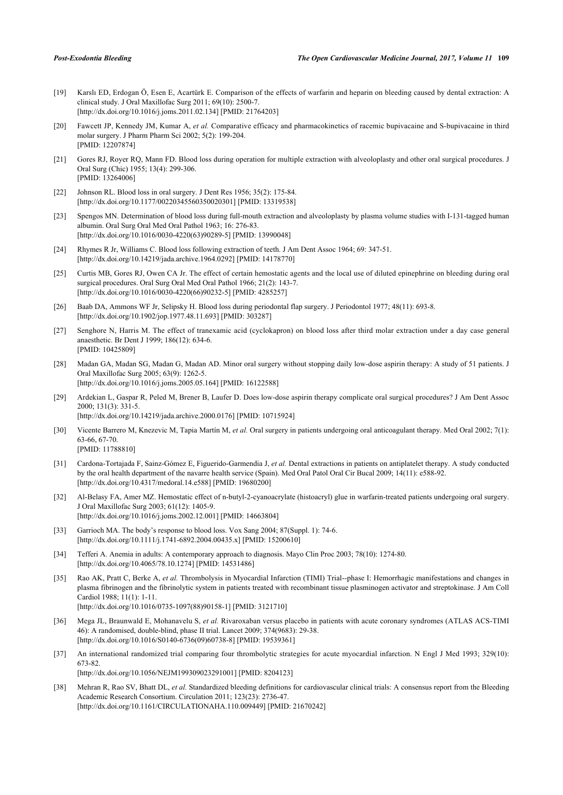- [19] Karslı ED, Erdogan Ö, Esen E, Acartürk E. Comparison of the effects of warfarin and heparin on bleeding caused by dental extraction: A clinical study. J Oral Maxillofac Surg 2011; 69(10): 2500-7. [\[http://dx.doi.org/10.1016/j.joms.2011.02.134\]](http://dx.doi.org/10.1016/j.joms.2011.02.134) [PMID: [21764203](http://www.ncbi.nlm.nih.gov/pubmed/21764203)]
- <span id="page-7-1"></span>[20] Fawcett JP, Kennedy JM, Kumar A, *et al.* Comparative efficacy and pharmacokinetics of racemic bupivacaine and S-bupivacaine in third molar surgery. J Pharm Pharm Sci 2002; 5(2): 199-204. [PMID: [12207874\]](http://www.ncbi.nlm.nih.gov/pubmed/12207874)
- [21] Gores RJ, Royer RQ, Mann FD. Blood loss during operation for multiple extraction with alveoloplasty and other oral surgical procedures. J Oral Surg (Chic) 1955; 13(4): 299-306. [PMID: [13264006\]](http://www.ncbi.nlm.nih.gov/pubmed/13264006)
- [22] Johnson RL. Blood loss in oral surgery. J Dent Res 1956; 35(2): 175-84. [\[http://dx.doi.org/10.1177/00220345560350020301\]](http://dx.doi.org/10.1177/00220345560350020301) [PMID: [13319538](http://www.ncbi.nlm.nih.gov/pubmed/13319538)]
- [23] Spengos MN. Determination of blood loss during full-mouth extraction and alveoloplasty by plasma volume studies with I-131-tagged human albumin. Oral Surg Oral Med Oral Pathol 1963; 16: 276-83. [\[http://dx.doi.org/10.1016/0030-4220\(63\)90289-5](http://dx.doi.org/10.1016/0030-4220(63)90289-5)] [PMID: [13990048](http://www.ncbi.nlm.nih.gov/pubmed/13990048)]
- [24] Rhymes R Jr, Williams C. Blood loss following extraction of teeth. J Am Dent Assoc 1964; 69: 347-51. [\[http://dx.doi.org/10.14219/jada.archive.1964.0292\]](http://dx.doi.org/10.14219/jada.archive.1964.0292) [PMID: [14178770](http://www.ncbi.nlm.nih.gov/pubmed/14178770)]
- [25] Curtis MB, Gores RJ, Owen CA Jr. The effect of certain hemostatic agents and the local use of diluted epinephrine on bleeding during oral surgical procedures. Oral Surg Oral Med Oral Pathol 1966; 21(2): 143-7. [\[http://dx.doi.org/10.1016/0030-4220\(66\)90232-5](http://dx.doi.org/10.1016/0030-4220(66)90232-5)] [PMID: [4285257](http://www.ncbi.nlm.nih.gov/pubmed/4285257)]
- [26] Baab DA, Ammons WF Jr, Selipsky H. Blood loss during periodontal flap surgery. J Periodontol 1977; 48(11): 693-8. [\[http://dx.doi.org/10.1902/jop.1977.48.11.693](http://dx.doi.org/10.1902/jop.1977.48.11.693)] [PMID: [303287\]](http://www.ncbi.nlm.nih.gov/pubmed/303287)
- <span id="page-7-0"></span>[27] Senghore N, Harris M. The effect of tranexamic acid (cyclokapron) on blood loss after third molar extraction under a day case general anaesthetic. Br Dent J 1999; 186(12): 634-6. [PMID: [10425809\]](http://www.ncbi.nlm.nih.gov/pubmed/10425809)
- <span id="page-7-2"></span>[28] Madan GA, Madan SG, Madan G, Madan AD. Minor oral surgery without stopping daily low-dose aspirin therapy: A study of 51 patients. J Oral Maxillofac Surg 2005; 63(9): 1262-5. [\[http://dx.doi.org/10.1016/j.joms.2005.05.164\]](http://dx.doi.org/10.1016/j.joms.2005.05.164) [PMID: [16122588](http://www.ncbi.nlm.nih.gov/pubmed/16122588)]
- [29] Ardekian L, Gaspar R, Peled M, Brener B, Laufer D. Does low-dose aspirin therapy complicate oral surgical procedures? J Am Dent Assoc 2000; 131(3): 331-5. [\[http://dx.doi.org/10.14219/jada.archive.2000.0176\]](http://dx.doi.org/10.14219/jada.archive.2000.0176) [PMID: [10715924](http://www.ncbi.nlm.nih.gov/pubmed/10715924)]
- [30] Vicente Barrero M, Knezevic M, Tapia Martín M, *et al.* Oral surgery in patients undergoing oral anticoagulant therapy. Med Oral 2002; 7(1): 63-66, 67-70.
	- [PMID: [11788810\]](http://www.ncbi.nlm.nih.gov/pubmed/11788810)
- [31] Cardona-Tortajada F, Sainz-Gómez E, Figuerido-Garmendia J, *et al.* Dental extractions in patients on antiplatelet therapy. A study conducted by the oral health department of the navarre health service (Spain). Med Oral Patol Oral Cir Bucal 2009; 14(11): e588-92. [\[http://dx.doi.org/10.4317/medoral.14.e588\]](http://dx.doi.org/10.4317/medoral.14.e588) [PMID: [19680200](http://www.ncbi.nlm.nih.gov/pubmed/19680200)]
- <span id="page-7-3"></span>[32] Al-Belasy FA, Amer MZ. Hemostatic effect of n-butyl-2-cyanoacrylate (histoacryl) glue in warfarin-treated patients undergoing oral surgery. J Oral Maxillofac Surg 2003; 61(12): 1405-9. [\[http://dx.doi.org/10.1016/j.joms.2002.12.001\]](http://dx.doi.org/10.1016/j.joms.2002.12.001) [PMID: [14663804](http://www.ncbi.nlm.nih.gov/pubmed/14663804)]
- <span id="page-7-4"></span>[33] Garrioch MA. The body's response to blood loss. Vox Sang 2004; 87(Suppl. 1): 74-6. [\[http://dx.doi.org/10.1111/j.1741-6892.2004.00435.x\]](http://dx.doi.org/10.1111/j.1741-6892.2004.00435.x) [PMID: [15200610](http://www.ncbi.nlm.nih.gov/pubmed/15200610)]
- <span id="page-7-5"></span>[34] Tefferi A. Anemia in adults: A contemporary approach to diagnosis. Mayo Clin Proc 2003; 78(10): 1274-80. [\[http://dx.doi.org/10.4065/78.10.1274\]](http://dx.doi.org/10.4065/78.10.1274) [PMID: [14531486](http://www.ncbi.nlm.nih.gov/pubmed/14531486)]
- <span id="page-7-6"></span>[35] Rao AK, Pratt C, Berke A, *et al.* Thrombolysis in Myocardial Infarction (TIMI) Trial--phase I: Hemorrhagic manifestations and changes in plasma fibrinogen and the fibrinolytic system in patients treated with recombinant tissue plasminogen activator and streptokinase. J Am Coll Cardiol 1988; 11(1): 1-11. [\[http://dx.doi.org/10.1016/0735-1097\(88\)90158-1](http://dx.doi.org/10.1016/0735-1097(88)90158-1)] [PMID: [3121710](http://www.ncbi.nlm.nih.gov/pubmed/3121710)]
- <span id="page-7-7"></span>[36] Mega JL, Braunwald E, Mohanavelu S, *et al.* Rivaroxaban versus placebo in patients with acute coronary syndromes (ATLAS ACS-TIMI 46): A randomised, double-blind, phase II trial. Lancet 2009; 374(9683): 29-38. [\[http://dx.doi.org/10.1016/S0140-6736\(09\)60738-8\]](http://dx.doi.org/10.1016/S0140-6736(09)60738-8) [PMID: [19539361](http://www.ncbi.nlm.nih.gov/pubmed/19539361)]
- <span id="page-7-8"></span>[37] An international randomized trial comparing four thrombolytic strategies for acute myocardial infarction. N Engl J Med 1993; 329(10): 673-82. [\[http://dx.doi.org/10.1056/NEJM199309023291001\]](http://dx.doi.org/10.1056/NEJM199309023291001) [PMID: [8204123](http://www.ncbi.nlm.nih.gov/pubmed/8204123)]
- <span id="page-7-9"></span>[38] Mehran R, Rao SV, Bhatt DL, et al. Standardized bleeding definitions for cardiovascular clinical trials: A consensus report from the Bleeding Academic Research Consortium. Circulation 2011; 123(23): 2736-47. [\[http://dx.doi.org/10.1161/CIRCULATIONAHA.110.009449](http://dx.doi.org/10.1161/CIRCULATIONAHA.110.009449)] [PMID: [21670242\]](http://www.ncbi.nlm.nih.gov/pubmed/21670242)